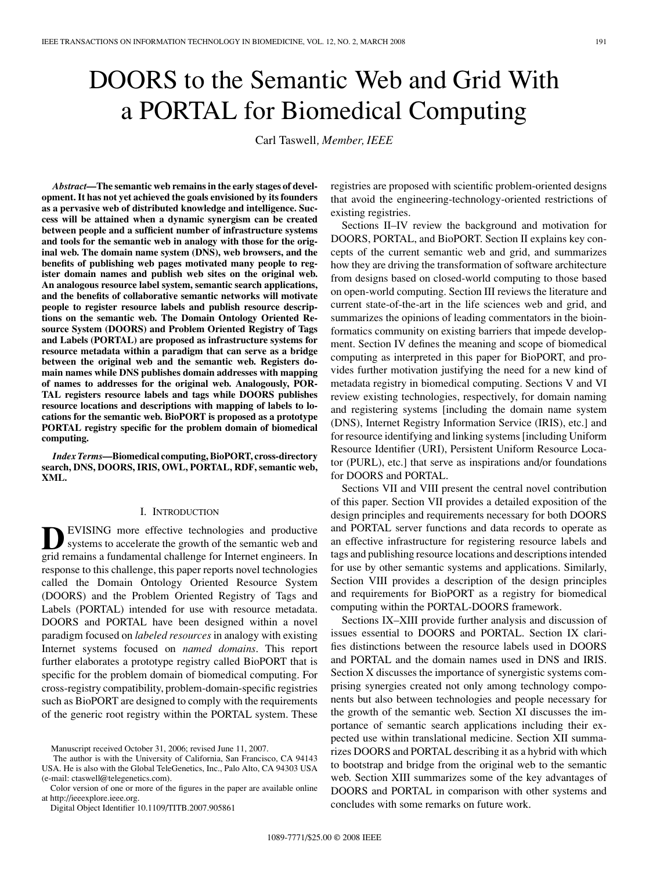# DOORS to the Semantic Web and Grid With a PORTAL for Biomedical Computing

Carl Taswell*, Member, IEEE*

*Abstract***—The semantic web remains in the early stages of development. It has not yet achieved the goals envisioned by its founders as a pervasive web of distributed knowledge and intelligence. Success will be attained when a dynamic synergism can be created between people and a sufficient number of infrastructure systems and tools for the semantic web in analogy with those for the original web. The domain name system (DNS), web browsers, and the benefits of publishing web pages motivated many people to register domain names and publish web sites on the original web. An analogous resource label system, semantic search applications, and the benefits of collaborative semantic networks will motivate people to register resource labels and publish resource descriptions on the semantic web. The Domain Ontology Oriented Resource System (DOORS) and Problem Oriented Registry of Tags and Labels (PORTAL) are proposed as infrastructure systems for resource metadata within a paradigm that can serve as a bridge between the original web and the semantic web. Registers domain names while DNS publishes domain addresses with mapping of names to addresses for the original web. Analogously, POR-TAL registers resource labels and tags while DOORS publishes resource locations and descriptions with mapping of labels to locations for the semantic web. BioPORT is proposed as a prototype PORTAL registry specific for the problem domain of biomedical computing.**

*Index Terms***—Biomedical computing, BioPORT, cross-directory search, DNS, DOORS, IRIS, OWL, PORTAL, RDF, semantic web, XML.**

#### I. INTRODUCTION

**D**EVISING more effective technologies and productive systems to accelerate the growth of the semantic web and grid remains a fundamental challenge for Internet engineers. In response to this challenge, this paper reports novel technologies called the Domain Ontology Oriented Resource System (DOORS) and the Problem Oriented Registry of Tags and Labels (PORTAL) intended for use with resource metadata. DOORS and PORTAL have been designed within a novel paradigm focused on *labeled resources* in analogy with existing Internet systems focused on *named domains*. This report further elaborates a prototype registry called BioPORT that is specific for the problem domain of biomedical computing. For cross-registry compatibility, problem-domain-specific registries such as BioPORT are designed to comply with the requirements of the generic root registry within the PORTAL system. These

Digital Object Identifier 10.1109/TITB.2007.905861

registries are proposed with scientific problem-oriented designs that avoid the engineering-technology-oriented restrictions of existing registries.

Sections II–IV review the background and motivation for DOORS, PORTAL, and BioPORT. Section II explains key concepts of the current semantic web and grid, and summarizes how they are driving the transformation of software architecture from designs based on closed-world computing to those based on open-world computing. Section III reviews the literature and current state-of-the-art in the life sciences web and grid, and summarizes the opinions of leading commentators in the bioinformatics community on existing barriers that impede development. Section IV defines the meaning and scope of biomedical computing as interpreted in this paper for BioPORT, and provides further motivation justifying the need for a new kind of metadata registry in biomedical computing. Sections V and VI review existing technologies, respectively, for domain naming and registering systems [including the domain name system (DNS), Internet Registry Information Service (IRIS), etc.] and for resource identifying and linking systems [including Uniform Resource Identifier (URI), Persistent Uniform Resource Locator (PURL), etc.] that serve as inspirations and/or foundations for DOORS and PORTAL.

Sections VII and VIII present the central novel contribution of this paper. Section VII provides a detailed exposition of the design principles and requirements necessary for both DOORS and PORTAL server functions and data records to operate as an effective infrastructure for registering resource labels and tags and publishing resource locations and descriptions intended for use by other semantic systems and applications. Similarly, Section VIII provides a description of the design principles and requirements for BioPORT as a registry for biomedical computing within the PORTAL-DOORS framework.

Sections IX–XIII provide further analysis and discussion of issues essential to DOORS and PORTAL. Section IX clarifies distinctions between the resource labels used in DOORS and PORTAL and the domain names used in DNS and IRIS. Section X discusses the importance of synergistic systems comprising synergies created not only among technology components but also between technologies and people necessary for the growth of the semantic web. Section XI discusses the importance of semantic search applications including their expected use within translational medicine. Section XII summarizes DOORS and PORTAL describing it as a hybrid with which to bootstrap and bridge from the original web to the semantic web. Section XIII summarizes some of the key advantages of DOORS and PORTAL in comparison with other systems and concludes with some remarks on future work.

Manuscript received October 31, 2006; revised June 11, 2007.

The author is with the University of California, San Francisco, CA 94143 USA. He is also with the Global TeleGenetics, Inc., Palo Alto, CA 94303 USA (e-mail: ctaswell@telegenetics.com).

Color version of one or more of the figures in the paper are available online at http://ieeexplore.ieee.org.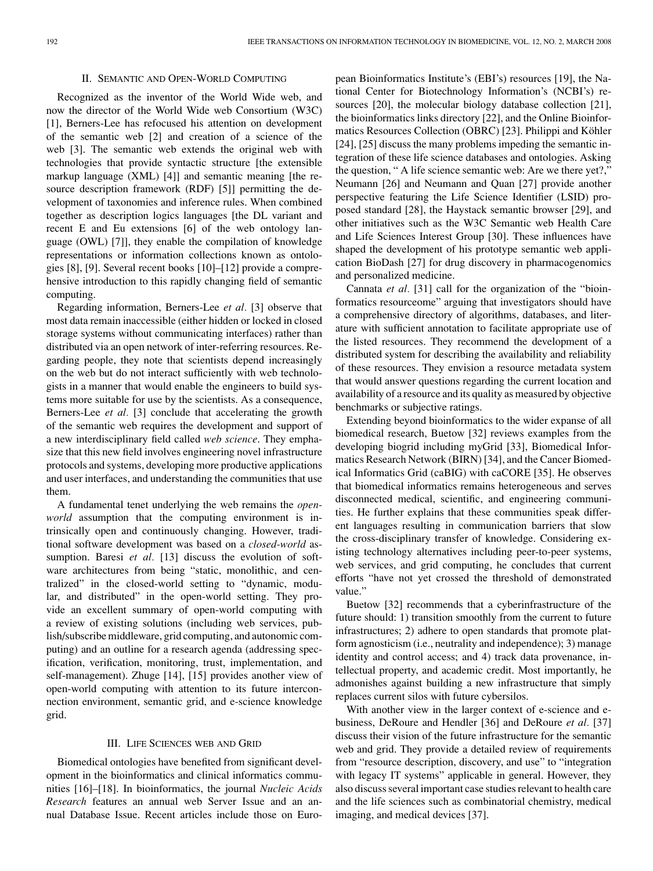## II. SEMANTIC AND OPEN-WORLD COMPUTING

Recognized as the inventor of the World Wide web, and now the director of the World Wide web Consortium (W3C) [1], Berners-Lee has refocused his attention on development of the semantic web [2] and creation of a science of the web [3]. The semantic web extends the original web with technologies that provide syntactic structure [the extensible markup language (XML) [4]] and semantic meaning [the resource description framework (RDF) [5]] permitting the development of taxonomies and inference rules. When combined together as description logics languages [the DL variant and recent E and Eu extensions [6] of the web ontology language (OWL) [7]], they enable the compilation of knowledge representations or information collections known as ontologies [8], [9]. Several recent books [10]–[12] provide a comprehensive introduction to this rapidly changing field of semantic computing.

Regarding information, Berners-Lee *et al.* [3] observe that most data remain inaccessible (either hidden or locked in closed storage systems without communicating interfaces) rather than distributed via an open network of inter-referring resources. Regarding people, they note that scientists depend increasingly on the web but do not interact sufficiently with web technologists in a manner that would enable the engineers to build systems more suitable for use by the scientists. As a consequence, Berners-Lee *et al.* [3] conclude that accelerating the growth of the semantic web requires the development and support of a new interdisciplinary field called *web science*. They emphasize that this new field involves engineering novel infrastructure protocols and systems, developing more productive applications and user interfaces, and understanding the communities that use them.

A fundamental tenet underlying the web remains the *openworld* assumption that the computing environment is intrinsically open and continuously changing. However, traditional software development was based on a *closed-world* assumption. Baresi *et al.* [13] discuss the evolution of software architectures from being "static, monolithic, and centralized" in the closed-world setting to "dynamic, modular, and distributed" in the open-world setting. They provide an excellent summary of open-world computing with a review of existing solutions (including web services, publish/subscribe middleware, grid computing, and autonomic computing) and an outline for a research agenda (addressing specification, verification, monitoring, trust, implementation, and self-management). Zhuge [14], [15] provides another view of open-world computing with attention to its future interconnection environment, semantic grid, and e-science knowledge grid.

# III. LIFE SCIENCES WEB AND GRID

Biomedical ontologies have benefited from significant development in the bioinformatics and clinical informatics communities [16]–[18]. In bioinformatics, the journal *Nucleic Acids Research* features an annual web Server Issue and an annual Database Issue. Recent articles include those on European Bioinformatics Institute's (EBI's) resources [19], the National Center for Biotechnology Information's (NCBI's) resources [20], the molecular biology database collection [21], the bioinformatics links directory [22], and the Online Bioinformatics Resources Collection (OBRC) [23]. Philippi and Köhler [24], [25] discuss the many problems impeding the semantic integration of these life science databases and ontologies. Asking the question, " A life science semantic web: Are we there yet?," Neumann [26] and Neumann and Quan [27] provide another perspective featuring the Life Science Identifier (LSID) proposed standard [28], the Haystack semantic browser [29], and other initiatives such as the W3C Semantic web Health Care and Life Sciences Interest Group [30]. These influences have shaped the development of his prototype semantic web application BioDash [27] for drug discovery in pharmacogenomics and personalized medicine.

Cannata *et al.* [31] call for the organization of the "bioinformatics resourceome" arguing that investigators should have a comprehensive directory of algorithms, databases, and literature with sufficient annotation to facilitate appropriate use of the listed resources. They recommend the development of a distributed system for describing the availability and reliability of these resources. They envision a resource metadata system that would answer questions regarding the current location and availability of a resource and its quality as measured by objective benchmarks or subjective ratings.

Extending beyond bioinformatics to the wider expanse of all biomedical research, Buetow [32] reviews examples from the developing biogrid including myGrid [33], Biomedical Informatics Research Network (BIRN) [34], and the Cancer Biomedical Informatics Grid (caBIG) with caCORE [35]. He observes that biomedical informatics remains heterogeneous and serves disconnected medical, scientific, and engineering communities. He further explains that these communities speak different languages resulting in communication barriers that slow the cross-disciplinary transfer of knowledge. Considering existing technology alternatives including peer-to-peer systems, web services, and grid computing, he concludes that current efforts "have not yet crossed the threshold of demonstrated value."

Buetow [32] recommends that a cyberinfrastructure of the future should: 1) transition smoothly from the current to future infrastructures; 2) adhere to open standards that promote platform agnosticism (i.e., neutrality and independence); 3) manage identity and control access; and 4) track data provenance, intellectual property, and academic credit. Most importantly, he admonishes against building a new infrastructure that simply replaces current silos with future cybersilos.

With another view in the larger context of e-science and ebusiness, DeRoure and Hendler [36] and DeRoure *et al.* [37] discuss their vision of the future infrastructure for the semantic web and grid. They provide a detailed review of requirements from "resource description, discovery, and use" to "integration with legacy IT systems" applicable in general. However, they also discuss several important case studies relevant to health care and the life sciences such as combinatorial chemistry, medical imaging, and medical devices [37].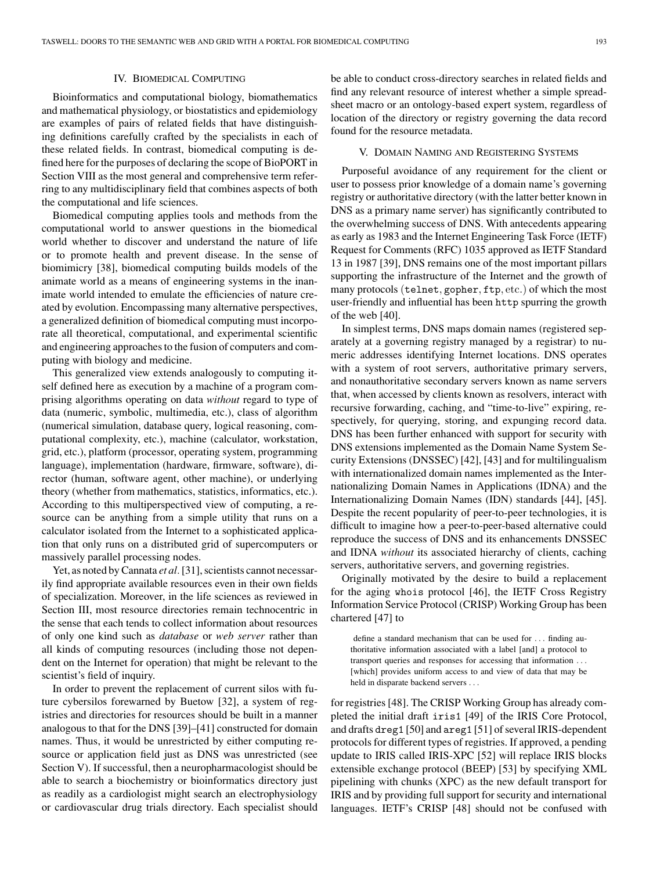# IV. BIOMEDICAL COMPUTING

Bioinformatics and computational biology, biomathematics and mathematical physiology, or biostatistics and epidemiology are examples of pairs of related fields that have distinguishing definitions carefully crafted by the specialists in each of these related fields. In contrast, biomedical computing is defined here for the purposes of declaring the scope of BioPORT in Section VIII as the most general and comprehensive term referring to any multidisciplinary field that combines aspects of both the computational and life sciences.

Biomedical computing applies tools and methods from the computational world to answer questions in the biomedical world whether to discover and understand the nature of life or to promote health and prevent disease. In the sense of biomimicry [38], biomedical computing builds models of the animate world as a means of engineering systems in the inanimate world intended to emulate the efficiencies of nature created by evolution. Encompassing many alternative perspectives, a generalized definition of biomedical computing must incorporate all theoretical, computational, and experimental scientific and engineering approaches to the fusion of computers and computing with biology and medicine.

This generalized view extends analogously to computing itself defined here as execution by a machine of a program comprising algorithms operating on data *without* regard to type of data (numeric, symbolic, multimedia, etc.), class of algorithm (numerical simulation, database query, logical reasoning, computational complexity, etc.), machine (calculator, workstation, grid, etc.), platform (processor, operating system, programming language), implementation (hardware, firmware, software), director (human, software agent, other machine), or underlying theory (whether from mathematics, statistics, informatics, etc.). According to this multiperspectived view of computing, a resource can be anything from a simple utility that runs on a calculator isolated from the Internet to a sophisticated application that only runs on a distributed grid of supercomputers or massively parallel processing nodes.

Yet, as noted by Cannata *et al.*[31], scientists cannot necessarily find appropriate available resources even in their own fields of specialization. Moreover, in the life sciences as reviewed in Section III, most resource directories remain technocentric in the sense that each tends to collect information about resources of only one kind such as *database* or *web server* rather than all kinds of computing resources (including those not dependent on the Internet for operation) that might be relevant to the scientist's field of inquiry.

In order to prevent the replacement of current silos with future cybersilos forewarned by Buetow [32], a system of registries and directories for resources should be built in a manner analogous to that for the DNS [39]–[41] constructed for domain names. Thus, it would be unrestricted by either computing resource or application field just as DNS was unrestricted (see Section V). If successful, then a neuropharmacologist should be able to search a biochemistry or bioinformatics directory just as readily as a cardiologist might search an electrophysiology or cardiovascular drug trials directory. Each specialist should be able to conduct cross-directory searches in related fields and find any relevant resource of interest whether a simple spreadsheet macro or an ontology-based expert system, regardless of location of the directory or registry governing the data record found for the resource metadata.

## V. DOMAIN NAMING AND REGISTERING SYSTEMS

Purposeful avoidance of any requirement for the client or user to possess prior knowledge of a domain name's governing registry or authoritative directory (with the latter better known in DNS as a primary name server) has significantly contributed to the overwhelming success of DNS. With antecedents appearing as early as 1983 and the Internet Engineering Task Force (IETF) Request for Comments (RFC) 1035 approved as IETF Standard 13 in 1987 [39], DNS remains one of the most important pillars supporting the infrastructure of the Internet and the growth of many protocols (telnet, gopher, ftp, etc.) of which the most user-friendly and influential has been http spurring the growth of the web [40].

In simplest terms, DNS maps domain names (registered separately at a governing registry managed by a registrar) to numeric addresses identifying Internet locations. DNS operates with a system of root servers, authoritative primary servers, and nonauthoritative secondary servers known as name servers that, when accessed by clients known as resolvers, interact with recursive forwarding, caching, and "time-to-live" expiring, respectively, for querying, storing, and expunging record data. DNS has been further enhanced with support for security with DNS extensions implemented as the Domain Name System Security Extensions (DNSSEC) [42], [43] and for multilingualism with internationalized domain names implemented as the Internationalizing Domain Names in Applications (IDNA) and the Internationalizing Domain Names (IDN) standards [44], [45]. Despite the recent popularity of peer-to-peer technologies, it is difficult to imagine how a peer-to-peer-based alternative could reproduce the success of DNS and its enhancements DNSSEC and IDNA *without* its associated hierarchy of clients, caching servers, authoritative servers, and governing registries.

Originally motivated by the desire to build a replacement for the aging whois protocol [46], the IETF Cross Registry Information Service Protocol (CRISP) Working Group has been chartered [47] to

define a standard mechanism that can be used for ... finding authoritative information associated with a label [and] a protocol to transport queries and responses for accessing that information ... [which] provides uniform access to and view of data that may be held in disparate backend servers ...

for registries [48]. The CRISP Working Group has already completed the initial draft iris1 [49] of the IRIS Core Protocol, and drafts dreg1 [50] and areg1 [51] of several IRIS-dependent protocols for different types of registries. If approved, a pending update to IRIS called IRIS-XPC [52] will replace IRIS blocks extensible exchange protocol (BEEP) [53] by specifying XML pipelining with chunks (XPC) as the new default transport for IRIS and by providing full support for security and international languages. IETF's CRISP [48] should not be confused with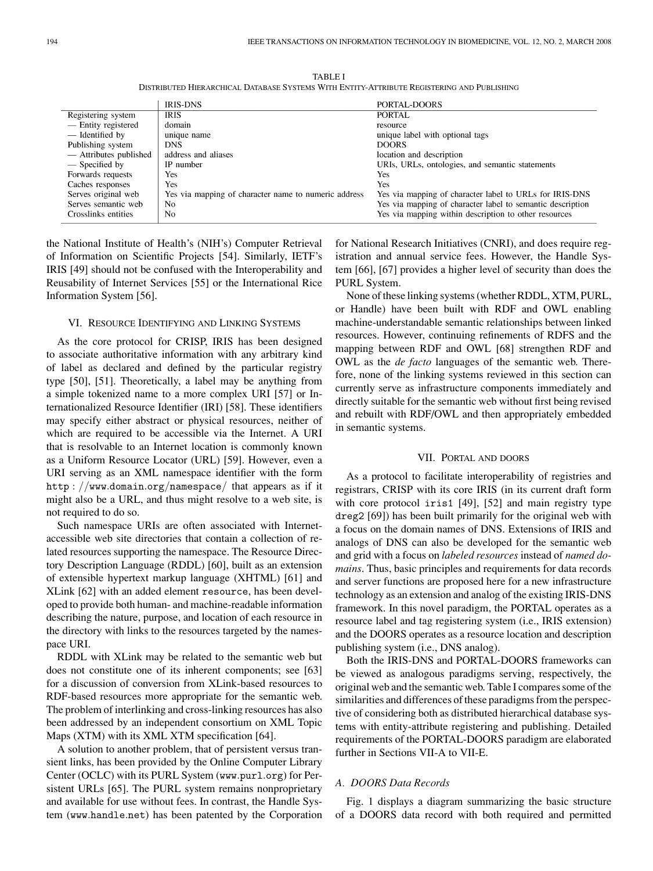$\overline{a}$  $\overline{p}$ 

| TABLE I                                                                                    |  |
|--------------------------------------------------------------------------------------------|--|
| DISTRIBUTED HIERARCHICAL DATABASE SYSTEMS WITH ENTITY-ATTRIBUTE REGISTERING AND PUBLISHING |  |

the National Institute of Health's (NIH's) Computer Retrieval of Information on Scientific Projects [54]. Similarly, IETF's IRIS [49] should not be confused with the Interoperability and Reusability of Internet Services [55] or the International Rice Information System [56].

## VI. RESOURCE IDENTIFYING AND LINKING SYSTEMS

As the core protocol for CRISP, IRIS has been designed to associate authoritative information with any arbitrary kind of label as declared and defined by the particular registry type [50], [51]. Theoretically, a label may be anything from a simple tokenized name to a more complex URI [57] or Internationalized Resource Identifier (IRI) [58]. These identifiers may specify either abstract or physical resources, neither of which are required to be accessible via the Internet. A URI that is resolvable to an Internet location is commonly known as a Uniform Resource Locator (URL) [59]. However, even a URI serving as an XML namespace identifier with the form http : //www.domain.org/namespace/ that appears as if it might also be a URL, and thus might resolve to a web site, is not required to do so.

Such namespace URIs are often associated with Internetaccessible web site directories that contain a collection of related resources supporting the namespace. The Resource Directory Description Language (RDDL) [60], built as an extension of extensible hypertext markup language (XHTML) [61] and XLink [62] with an added element resource, has been developed to provide both human- and machine-readable information describing the nature, purpose, and location of each resource in the directory with links to the resources targeted by the namespace URI.

RDDL with XLink may be related to the semantic web but does not constitute one of its inherent components; see [63] for a discussion of conversion from XLink-based resources to RDF-based resources more appropriate for the semantic web. The problem of interlinking and cross-linking resources has also been addressed by an independent consortium on XML Topic Maps (XTM) with its XML XTM specification [64].

A solution to another problem, that of persistent versus transient links, has been provided by the Online Computer Library Center (OCLC) with its PURL System (www.purl.org) for Persistent URLs [65]. The PURL system remains nonproprietary and available for use without fees. In contrast, the Handle System (www.handle.net) has been patented by the Corporation for National Research Initiatives (CNRI), and does require registration and annual service fees. However, the Handle System [66], [67] provides a higher level of security than does the PURL System.

None of these linking systems (whether RDDL, XTM, PURL, or Handle) have been built with RDF and OWL enabling machine-understandable semantic relationships between linked resources. However, continuing refinements of RDFS and the mapping between RDF and OWL [68] strengthen RDF and OWL as the *de facto* languages of the semantic web. Therefore, none of the linking systems reviewed in this section can currently serve as infrastructure components immediately and directly suitable for the semantic web without first being revised and rebuilt with RDF/OWL and then appropriately embedded in semantic systems.

# VII. PORTAL AND DOORS

As a protocol to facilitate interoperability of registries and registrars, CRISP with its core IRIS (in its current draft form with core protocol iris1 [49], [52] and main registry type dreg2 [69]) has been built primarily for the original web with a focus on the domain names of DNS. Extensions of IRIS and analogs of DNS can also be developed for the semantic web and grid with a focus on *labeled resources* instead of *named domains*. Thus, basic principles and requirements for data records and server functions are proposed here for a new infrastructure technology as an extension and analog of the existing IRIS-DNS framework. In this novel paradigm, the PORTAL operates as a resource label and tag registering system (i.e., IRIS extension) and the DOORS operates as a resource location and description publishing system (i.e., DNS analog).

Both the IRIS-DNS and PORTAL-DOORS frameworks can be viewed as analogous paradigms serving, respectively, the original web and the semantic web. Table I compares some of the similarities and differences of these paradigms from the perspective of considering both as distributed hierarchical database systems with entity-attribute registering and publishing. Detailed requirements of the PORTAL-DOORS paradigm are elaborated further in Sections VII-A to VII-E.

## *A. DOORS Data Records*

Fig. 1 displays a diagram summarizing the basic structure of a DOORS data record with both required and permitted

|                        | IKIS-DNS                                             | PORTAL-DOORS                                               |
|------------------------|------------------------------------------------------|------------------------------------------------------------|
| Registering system     | <b>IRIS</b>                                          | <b>PORTAL</b>                                              |
| — Entity registered    | domain                                               | resource                                                   |
| — Identified by        | unique name                                          | unique label with optional tags                            |
| Publishing system      | <b>DNS</b>                                           | DOORS                                                      |
| — Attributes published | address and aliases                                  | location and description                                   |
| — Specified by         | IP number                                            | URIs, URLs, ontologies, and semantic statements            |
| Forwards requests      | Yes                                                  | Yes                                                        |
| Caches responses       | Yes                                                  | Yes                                                        |
| Serves original web    | Yes via mapping of character name to numeric address | Yes via mapping of character label to URLs for IRIS-DNS    |
| Serves semantic web    | No                                                   | Yes via mapping of character label to semantic description |
| Crosslinks entities    | Nο                                                   | Yes via manning within description to other resources      |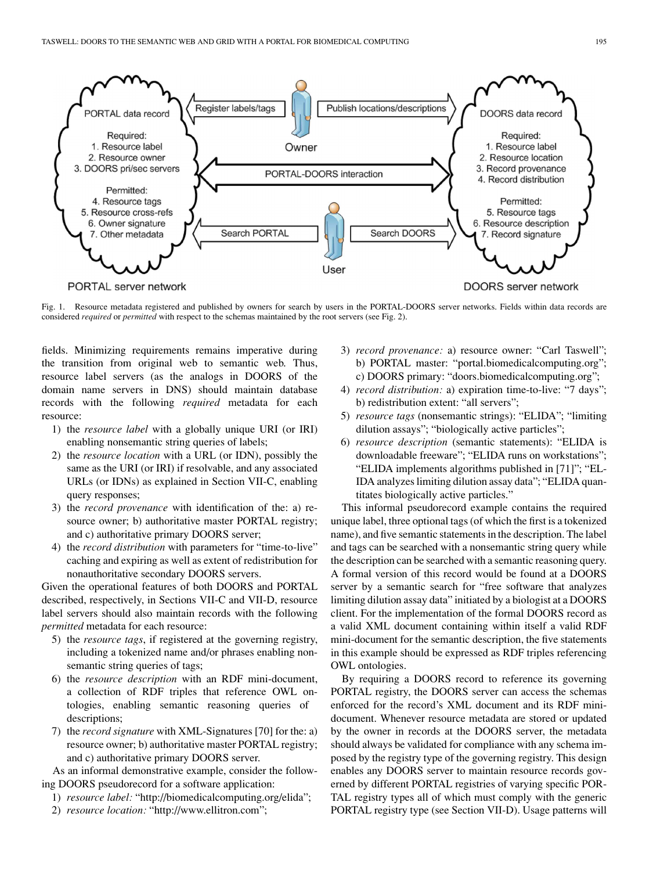

Fig. 1. Resource metadata registered and published by owners for search by users in the PORTAL-DOORS server networks. Fields within data records are considered *required* or *permitted* with respect to the schemas maintained by the root servers (see Fig. 2).

fields. Minimizing requirements remains imperative during the transition from original web to semantic web. Thus, resource label servers (as the analogs in DOORS of the domain name servers in DNS) should maintain database records with the following *required* metadata for each resource:

- 1) the *resource label* with a globally unique URI (or IRI) enabling nonsemantic string queries of labels;
- 2) the *resource location* with a URL (or IDN), possibly the same as the URI (or IRI) if resolvable, and any associated URLs (or IDNs) as explained in Section VII-C, enabling query responses;
- 3) the *record provenance* with identification of the: a) resource owner; b) authoritative master PORTAL registry; and c) authoritative primary DOORS server;
- 4) the *record distribution* with parameters for "time-to-live" caching and expiring as well as extent of redistribution for nonauthoritative secondary DOORS servers.

Given the operational features of both DOORS and PORTAL described, respectively, in Sections VII-C and VII-D, resource label servers should also maintain records with the following *permitted* metadata for each resource:

- 5) the *resource tags*, if registered at the governing registry, including a tokenized name and/or phrases enabling nonsemantic string queries of tags;
- 6) the *resource description* with an RDF mini-document, a collection of RDF triples that reference OWL ontologies, enabling semantic reasoning queries of descriptions;
- 7) the *record signature* with XML-Signatures [70] for the: a) resource owner; b) authoritative master PORTAL registry; and c) authoritative primary DOORS server.

As an informal demonstrative example, consider the following DOORS pseudorecord for a software application:

- 1) *resource label:* "http://biomedicalcomputing.org/elida";
- 2) *resource location:* "http://www.ellitron.com";
- 3) *record provenance:* a) resource owner: "Carl Taswell"; b) PORTAL master: "portal.biomedicalcomputing.org"; c) DOORS primary: "doors.biomedicalcomputing.org";
- 4) *record distribution:* a) expiration time-to-live: "7 days"; b) redistribution extent: "all servers";
- 5) *resource tags* (nonsemantic strings): "ELIDA"; "limiting dilution assays"; "biologically active particles";
- 6) *resource description* (semantic statements): "ELIDA is downloadable freeware"; "ELIDA runs on workstations"; "ELIDA implements algorithms published in [71]"; "EL-IDA analyzes limiting dilution assay data"; "ELIDA quantitates biologically active particles."

This informal pseudorecord example contains the required unique label, three optional tags (of which the first is a tokenized name), and five semantic statements in the description. The label and tags can be searched with a nonsemantic string query while the description can be searched with a semantic reasoning query. A formal version of this record would be found at a DOORS server by a semantic search for "free software that analyzes limiting dilution assay data" initiated by a biologist at a DOORS client. For the implementation of the formal DOORS record as a valid XML document containing within itself a valid RDF mini-document for the semantic description, the five statements in this example should be expressed as RDF triples referencing OWL ontologies.

By requiring a DOORS record to reference its governing PORTAL registry, the DOORS server can access the schemas enforced for the record's XML document and its RDF minidocument. Whenever resource metadata are stored or updated by the owner in records at the DOORS server, the metadata should always be validated for compliance with any schema imposed by the registry type of the governing registry. This design enables any DOORS server to maintain resource records governed by different PORTAL registries of varying specific POR-TAL registry types all of which must comply with the generic PORTAL registry type (see Section VII-D). Usage patterns will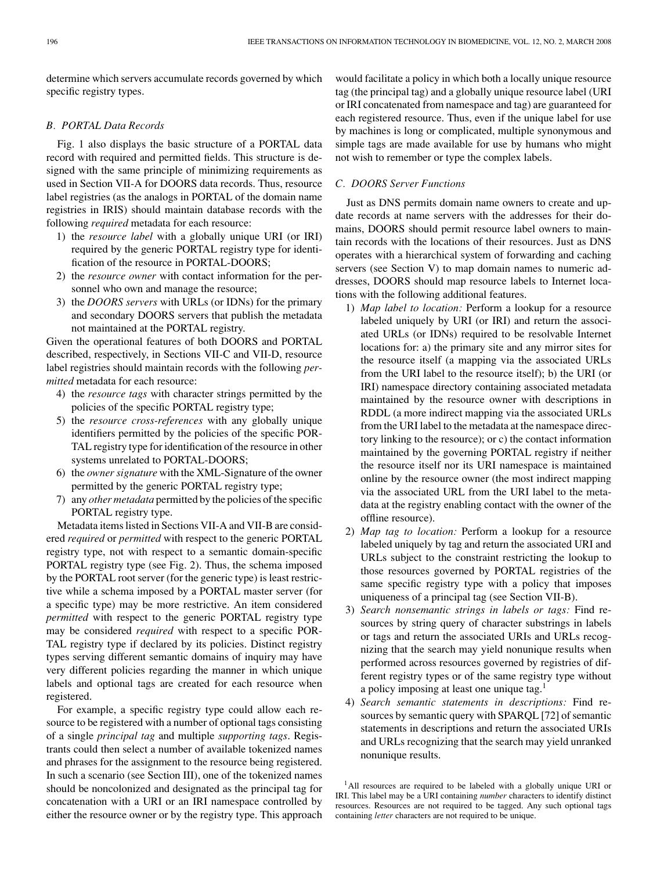determine which servers accumulate records governed by which specific registry types.

# *B. PORTAL Data Records*

Fig. 1 also displays the basic structure of a PORTAL data record with required and permitted fields. This structure is designed with the same principle of minimizing requirements as used in Section VII-A for DOORS data records. Thus, resource label registries (as the analogs in PORTAL of the domain name registries in IRIS) should maintain database records with the following *required* metadata for each resource:

- 1) the *resource label* with a globally unique URI (or IRI) required by the generic PORTAL registry type for identification of the resource in PORTAL-DOORS;
- 2) the *resource owner* with contact information for the personnel who own and manage the resource;
- 3) the *DOORS servers* with URLs (or IDNs) for the primary and secondary DOORS servers that publish the metadata not maintained at the PORTAL registry.

Given the operational features of both DOORS and PORTAL described, respectively, in Sections VII-C and VII-D, resource label registries should maintain records with the following *permitted* metadata for each resource:

- 4) the *resource tags* with character strings permitted by the policies of the specific PORTAL registry type;
- 5) the *resource cross-references* with any globally unique identifiers permitted by the policies of the specific POR-TAL registry type for identification of the resource in other systems unrelated to PORTAL-DOORS;
- 6) the *owner signature* with the XML-Signature of the owner permitted by the generic PORTAL registry type;
- 7) any *other metadata* permitted by the policies of the specific PORTAL registry type.

Metadata items listed in Sections VII-A and VII-B are considered *required* or *permitted* with respect to the generic PORTAL registry type, not with respect to a semantic domain-specific PORTAL registry type (see Fig. 2). Thus, the schema imposed by the PORTAL root server (for the generic type) is least restrictive while a schema imposed by a PORTAL master server (for a specific type) may be more restrictive. An item considered *permitted* with respect to the generic PORTAL registry type may be considered *required* with respect to a specific POR-TAL registry type if declared by its policies. Distinct registry types serving different semantic domains of inquiry may have very different policies regarding the manner in which unique labels and optional tags are created for each resource when registered.

For example, a specific registry type could allow each resource to be registered with a number of optional tags consisting of a single *principal tag* and multiple *supporting tags*. Registrants could then select a number of available tokenized names and phrases for the assignment to the resource being registered. In such a scenario (see Section III), one of the tokenized names should be noncolonized and designated as the principal tag for concatenation with a URI or an IRI namespace controlled by either the resource owner or by the registry type. This approach would facilitate a policy in which both a locally unique resource tag (the principal tag) and a globally unique resource label (URI or IRI concatenated from namespace and tag) are guaranteed for each registered resource. Thus, even if the unique label for use by machines is long or complicated, multiple synonymous and simple tags are made available for use by humans who might not wish to remember or type the complex labels.

# *C. DOORS Server Functions*

Just as DNS permits domain name owners to create and update records at name servers with the addresses for their domains, DOORS should permit resource label owners to maintain records with the locations of their resources. Just as DNS operates with a hierarchical system of forwarding and caching servers (see Section V) to map domain names to numeric addresses, DOORS should map resource labels to Internet locations with the following additional features.

- 1) *Map label to location:* Perform a lookup for a resource labeled uniquely by URI (or IRI) and return the associated URLs (or IDNs) required to be resolvable Internet locations for: a) the primary site and any mirror sites for the resource itself (a mapping via the associated URLs from the URI label to the resource itself); b) the URI (or IRI) namespace directory containing associated metadata maintained by the resource owner with descriptions in RDDL (a more indirect mapping via the associated URLs from the URI label to the metadata at the namespace directory linking to the resource); or c) the contact information maintained by the governing PORTAL registry if neither the resource itself nor its URI namespace is maintained online by the resource owner (the most indirect mapping via the associated URL from the URI label to the metadata at the registry enabling contact with the owner of the offline resource).
- 2) *Map tag to location:* Perform a lookup for a resource labeled uniquely by tag and return the associated URI and URLs subject to the constraint restricting the lookup to those resources governed by PORTAL registries of the same specific registry type with a policy that imposes uniqueness of a principal tag (see Section VII-B).
- 3) *Search nonsemantic strings in labels or tags:* Find resources by string query of character substrings in labels or tags and return the associated URIs and URLs recognizing that the search may yield nonunique results when performed across resources governed by registries of different registry types or of the same registry type without a policy imposing at least one unique tag.<sup>1</sup>
- 4) *Search semantic statements in descriptions:* Find resources by semantic query with SPARQL [72] of semantic statements in descriptions and return the associated URIs and URLs recognizing that the search may yield unranked nonunique results.

<sup>&</sup>lt;sup>1</sup>All resources are required to be labeled with a globally unique URI or IRI. This label may be a URI containing *number* characters to identify distinct resources. Resources are not required to be tagged. Any such optional tags containing *letter* characters are not required to be unique.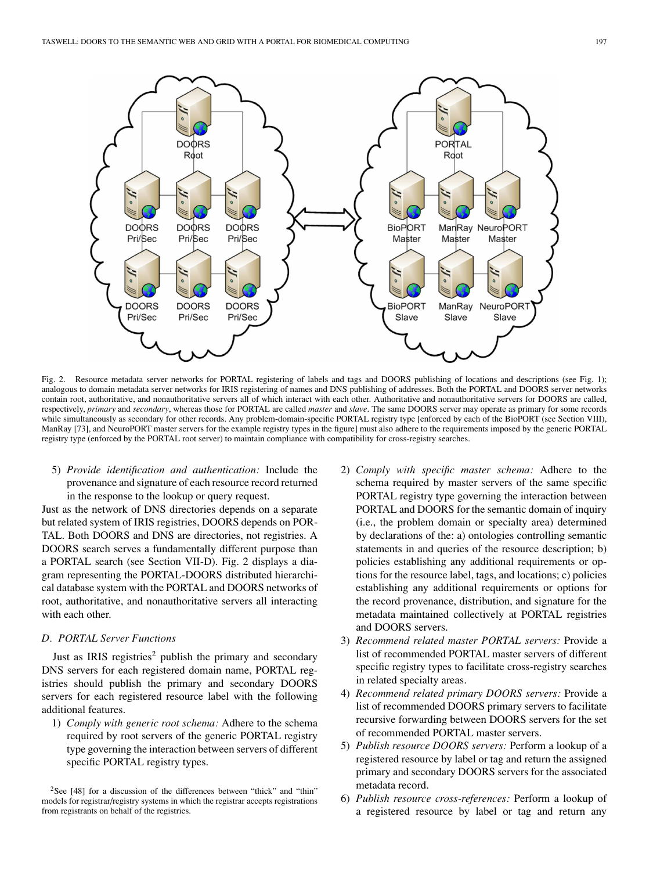

Fig. 2. Resource metadata server networks for PORTAL registering of labels and tags and DOORS publishing of locations and descriptions (see Fig. 1); analogous to domain metadata server networks for IRIS registering of names and DNS publishing of addresses. Both the PORTAL and DOORS server networks contain root, authoritative, and nonauthoritative servers all of which interact with each other. Authoritative and nonauthoritative servers for DOORS are called, respectively, *primary* and *secondary*, whereas those for PORTAL are called *master* and *slave*. The same DOORS server may operate as primary for some records while simultaneously as secondary for other records. Any problem-domain-specific PORTAL registry type [enforced by each of the BioPORT (see Section VIII), ManRay [73], and NeuroPORT master servers for the example registry types in the figure] must also adhere to the requirements imposed by the generic PORTAL registry type (enforced by the PORTAL root server) to maintain compliance with compatibility for cross-registry searches.

5) *Provide identification and authentication:* Include the provenance and signature of each resource record returned in the response to the lookup or query request.

Just as the network of DNS directories depends on a separate but related system of IRIS registries, DOORS depends on POR-TAL. Both DOORS and DNS are directories, not registries. A DOORS search serves a fundamentally different purpose than a PORTAL search (see Section VII-D). Fig. 2 displays a diagram representing the PORTAL-DOORS distributed hierarchical database system with the PORTAL and DOORS networks of root, authoritative, and nonauthoritative servers all interacting with each other.

# *D. PORTAL Server Functions*

Just as IRIS registries<sup>2</sup> publish the primary and secondary DNS servers for each registered domain name, PORTAL registries should publish the primary and secondary DOORS servers for each registered resource label with the following additional features.

1) *Comply with generic root schema:* Adhere to the schema required by root servers of the generic PORTAL registry type governing the interaction between servers of different specific PORTAL registry types.

- 2) *Comply with specific master schema:* Adhere to the schema required by master servers of the same specific PORTAL registry type governing the interaction between PORTAL and DOORS for the semantic domain of inquiry (i.e., the problem domain or specialty area) determined by declarations of the: a) ontologies controlling semantic statements in and queries of the resource description; b) policies establishing any additional requirements or options for the resource label, tags, and locations; c) policies establishing any additional requirements or options for the record provenance, distribution, and signature for the metadata maintained collectively at PORTAL registries and DOORS servers.
- 3) *Recommend related master PORTAL servers:* Provide a list of recommended PORTAL master servers of different specific registry types to facilitate cross-registry searches in related specialty areas.
- 4) *Recommend related primary DOORS servers:* Provide a list of recommended DOORS primary servers to facilitate recursive forwarding between DOORS servers for the set of recommended PORTAL master servers.
- 5) *Publish resource DOORS servers:* Perform a lookup of a registered resource by label or tag and return the assigned primary and secondary DOORS servers for the associated metadata record.
- 6) *Publish resource cross-references:* Perform a lookup of a registered resource by label or tag and return any

<sup>&</sup>lt;sup>2</sup>See [48] for a discussion of the differences between "thick" and "thin" models for registrar/registry systems in which the registrar accepts registrations from registrants on behalf of the registries.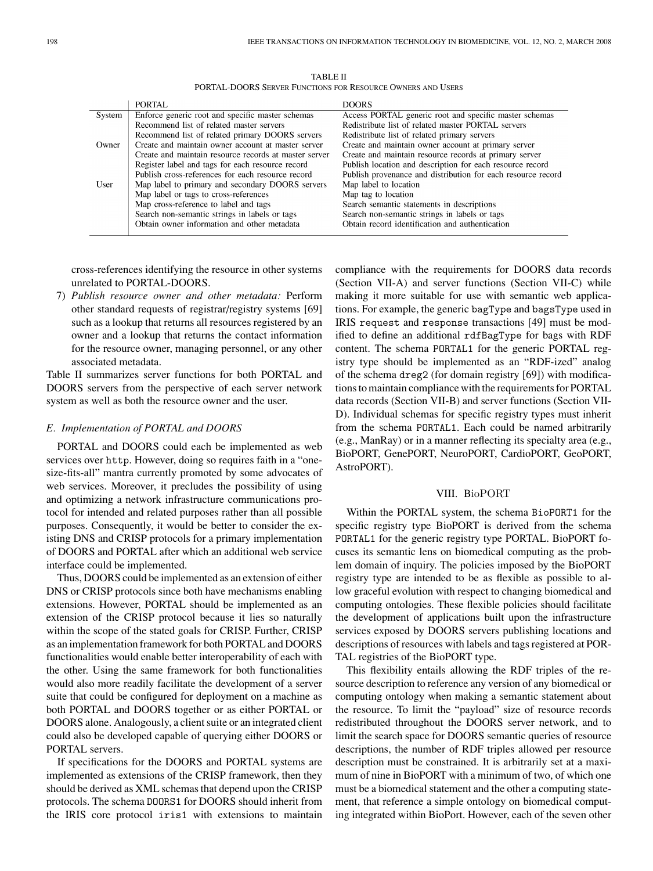|        | <b>PORTAL</b>                                         | <b>DOORS</b>                                                 |
|--------|-------------------------------------------------------|--------------------------------------------------------------|
| System | Enforce generic root and specific master schemas      | Access PORTAL generic root and specific master schemas       |
|        | Recommend list of related master servers              | Redistribute list of related master PORTAL servers           |
|        | Recommend list of related primary DOORS servers       | Redistribute list of related primary servers                 |
| Owner  | Create and maintain owner account at master server    | Create and maintain owner account at primary server          |
|        | Create and maintain resource records at master server | Create and maintain resource records at primary server       |
|        | Register label and tags for each resource record      | Publish location and description for each resource record    |
|        | Publish cross-references for each resource record     | Publish provenance and distribution for each resource record |
| User   | Map label to primary and secondary DOORS servers      | Map label to location                                        |
|        | Map label or tags to cross-references                 | Map tag to location                                          |
|        | Map cross-reference to label and tags                 | Search semantic statements in descriptions                   |
|        | Search non-semantic strings in labels or tags         | Search non-semantic strings in labels or tags                |
|        | Obtain owner information and other metadata           | Obtain record identification and authentication              |
|        |                                                       |                                                              |

TABLE II PORTAL-DOORS SERVER FUNCTIONS FOR RESOURCE OWNERS AND USERS

cross-references identifying the resource in other systems unrelated to PORTAL-DOORS.

7) *Publish resource owner and other metadata:* Perform other standard requests of registrar/registry systems [69] such as a lookup that returns all resources registered by an owner and a lookup that returns the contact information for the resource owner, managing personnel, or any other associated metadata.

Table II summarizes server functions for both PORTAL and DOORS servers from the perspective of each server network system as well as both the resource owner and the user.

## *E. Implementation of PORTAL and DOORS*

PORTAL and DOORS could each be implemented as web services over http. However, doing so requires faith in a "onesize-fits-all" mantra currently promoted by some advocates of web services. Moreover, it precludes the possibility of using and optimizing a network infrastructure communications protocol for intended and related purposes rather than all possible purposes. Consequently, it would be better to consider the existing DNS and CRISP protocols for a primary implementation of DOORS and PORTAL after which an additional web service interface could be implemented.

Thus, DOORS could be implemented as an extension of either DNS or CRISP protocols since both have mechanisms enabling extensions. However, PORTAL should be implemented as an extension of the CRISP protocol because it lies so naturally within the scope of the stated goals for CRISP. Further, CRISP as an implementation framework for both PORTAL and DOORS functionalities would enable better interoperability of each with the other. Using the same framework for both functionalities would also more readily facilitate the development of a server suite that could be configured for deployment on a machine as both PORTAL and DOORS together or as either PORTAL or DOORS alone. Analogously, a client suite or an integrated client could also be developed capable of querying either DOORS or PORTAL servers.

If specifications for the DOORS and PORTAL systems are implemented as extensions of the CRISP framework, then they should be derived as XML schemas that depend upon the CRISP protocols. The schema DOORS1 for DOORS should inherit from the IRIS core protocol iris1 with extensions to maintain

compliance with the requirements for DOORS data records (Section VII-A) and server functions (Section VII-C) while making it more suitable for use with semantic web applications. For example, the generic bagType and bagsType used in IRIS request and response transactions [49] must be modified to define an additional rdfBagType for bags with RDF content. The schema PORTAL1 for the generic PORTAL registry type should be implemented as an "RDF-ized" analog of the schema dreg2 (for domain registry [69]) with modifications to maintain compliance with the requirements for PORTAL data records (Section VII-B) and server functions (Section VII-D). Individual schemas for specific registry types must inherit from the schema PORTAL1. Each could be named arbitrarily (e.g., ManRay) or in a manner reflecting its specialty area (e.g., BioPORT, GenePORT, NeuroPORT, CardioPORT, GeoPORT, AstroPORT).

# VIII. BioPORT

Within the PORTAL system, the schema BioPORT1 for the specific registry type BioPORT is derived from the schema PORTAL1 for the generic registry type PORTAL. BioPORT focuses its semantic lens on biomedical computing as the problem domain of inquiry. The policies imposed by the BioPORT registry type are intended to be as flexible as possible to allow graceful evolution with respect to changing biomedical and computing ontologies. These flexible policies should facilitate the development of applications built upon the infrastructure services exposed by DOORS servers publishing locations and descriptions of resources with labels and tags registered at POR-TAL registries of the BioPORT type.

This flexibility entails allowing the RDF triples of the resource description to reference any version of any biomedical or computing ontology when making a semantic statement about the resource. To limit the "payload" size of resource records redistributed throughout the DOORS server network, and to limit the search space for DOORS semantic queries of resource descriptions, the number of RDF triples allowed per resource description must be constrained. It is arbitrarily set at a maximum of nine in BioPORT with a minimum of two, of which one must be a biomedical statement and the other a computing statement, that reference a simple ontology on biomedical computing integrated within BioPort. However, each of the seven other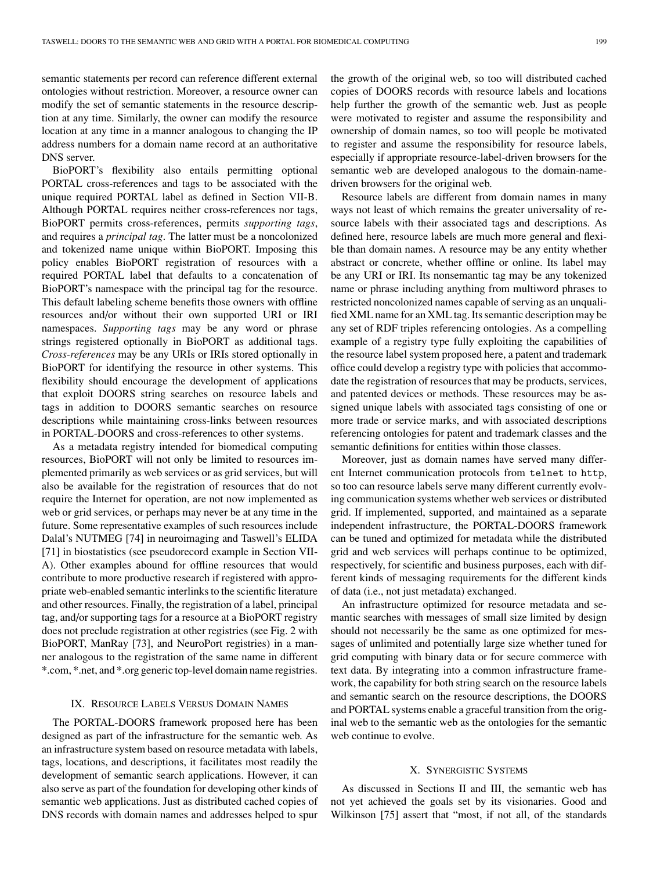semantic statements per record can reference different external ontologies without restriction. Moreover, a resource owner can modify the set of semantic statements in the resource description at any time. Similarly, the owner can modify the resource location at any time in a manner analogous to changing the IP address numbers for a domain name record at an authoritative DNS server.

BioPORT's flexibility also entails permitting optional PORTAL cross-references and tags to be associated with the unique required PORTAL label as defined in Section VII-B. Although PORTAL requires neither cross-references nor tags, BioPORT permits cross-references, permits *supporting tags*, and requires a *principal tag*. The latter must be a noncolonized and tokenized name unique within BioPORT. Imposing this policy enables BioPORT registration of resources with a required PORTAL label that defaults to a concatenation of BioPORT's namespace with the principal tag for the resource. This default labeling scheme benefits those owners with offline resources and/or without their own supported URI or IRI namespaces. *Supporting tags* may be any word or phrase strings registered optionally in BioPORT as additional tags. *Cross-references* may be any URIs or IRIs stored optionally in BioPORT for identifying the resource in other systems. This flexibility should encourage the development of applications that exploit DOORS string searches on resource labels and tags in addition to DOORS semantic searches on resource descriptions while maintaining cross-links between resources in PORTAL-DOORS and cross-references to other systems.

As a metadata registry intended for biomedical computing resources, BioPORT will not only be limited to resources implemented primarily as web services or as grid services, but will also be available for the registration of resources that do not require the Internet for operation, are not now implemented as web or grid services, or perhaps may never be at any time in the future. Some representative examples of such resources include Dalal's NUTMEG [74] in neuroimaging and Taswell's ELIDA [71] in biostatistics (see pseudorecord example in Section VII-A). Other examples abound for offline resources that would contribute to more productive research if registered with appropriate web-enabled semantic interlinks to the scientific literature and other resources. Finally, the registration of a label, principal tag, and/or supporting tags for a resource at a BioPORT registry does not preclude registration at other registries (see Fig. 2 with BioPORT, ManRay [73], and NeuroPort registries) in a manner analogous to the registration of the same name in different \*.com, \*.net, and \*.org generic top-level domain name registries.

### IX. RESOURCE LABELS VERSUS DOMAIN NAMES

The PORTAL-DOORS framework proposed here has been designed as part of the infrastructure for the semantic web. As an infrastructure system based on resource metadata with labels, tags, locations, and descriptions, it facilitates most readily the development of semantic search applications. However, it can also serve as part of the foundation for developing other kinds of semantic web applications. Just as distributed cached copies of DNS records with domain names and addresses helped to spur

the growth of the original web, so too will distributed cached copies of DOORS records with resource labels and locations help further the growth of the semantic web. Just as people were motivated to register and assume the responsibility and ownership of domain names, so too will people be motivated to register and assume the responsibility for resource labels, especially if appropriate resource-label-driven browsers for the semantic web are developed analogous to the domain-namedriven browsers for the original web.

Resource labels are different from domain names in many ways not least of which remains the greater universality of resource labels with their associated tags and descriptions. As defined here, resource labels are much more general and flexible than domain names. A resource may be any entity whether abstract or concrete, whether offline or online. Its label may be any URI or IRI. Its nonsemantic tag may be any tokenized name or phrase including anything from multiword phrases to restricted noncolonized names capable of serving as an unqualified XML name for an XML tag. Its semantic description may be any set of RDF triples referencing ontologies. As a compelling example of a registry type fully exploiting the capabilities of the resource label system proposed here, a patent and trademark office could develop a registry type with policies that accommodate the registration of resources that may be products, services, and patented devices or methods. These resources may be assigned unique labels with associated tags consisting of one or more trade or service marks, and with associated descriptions referencing ontologies for patent and trademark classes and the semantic definitions for entities within those classes.

Moreover, just as domain names have served many different Internet communication protocols from telnet to http, so too can resource labels serve many different currently evolving communication systems whether web services or distributed grid. If implemented, supported, and maintained as a separate independent infrastructure, the PORTAL-DOORS framework can be tuned and optimized for metadata while the distributed grid and web services will perhaps continue to be optimized, respectively, for scientific and business purposes, each with different kinds of messaging requirements for the different kinds of data (i.e., not just metadata) exchanged.

An infrastructure optimized for resource metadata and semantic searches with messages of small size limited by design should not necessarily be the same as one optimized for messages of unlimited and potentially large size whether tuned for grid computing with binary data or for secure commerce with text data. By integrating into a common infrastructure framework, the capability for both string search on the resource labels and semantic search on the resource descriptions, the DOORS and PORTAL systems enable a graceful transition from the original web to the semantic web as the ontologies for the semantic web continue to evolve.

## X. SYNERGISTIC SYSTEMS

As discussed in Sections II and III, the semantic web has not yet achieved the goals set by its visionaries. Good and Wilkinson [75] assert that "most, if not all, of the standards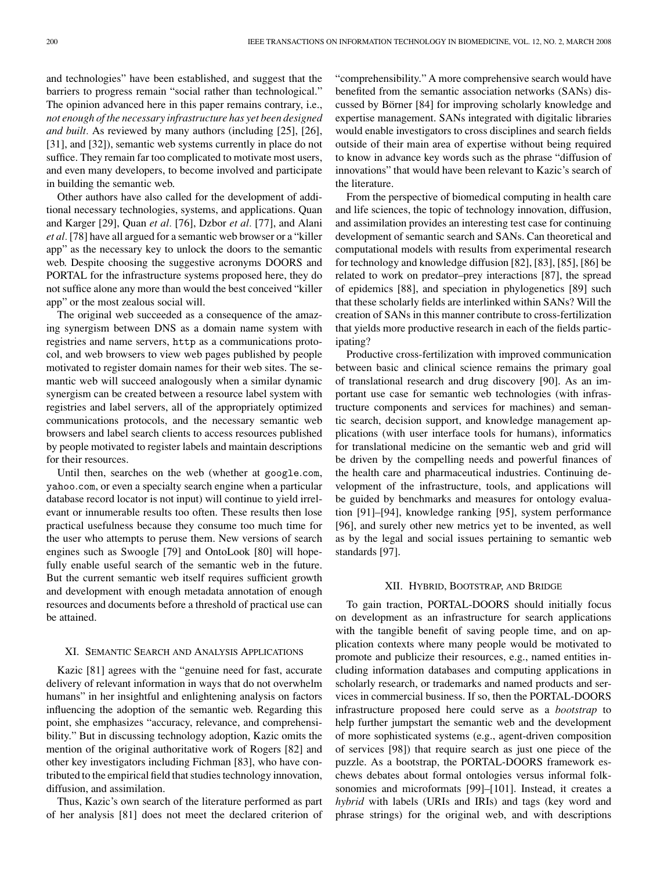and technologies" have been established, and suggest that the barriers to progress remain "social rather than technological." The opinion advanced here in this paper remains contrary, i.e., *not enough of the necessary infrastructure has yet been designed and built.* As reviewed by many authors (including [25], [26], [31], and [32]), semantic web systems currently in place do not suffice. They remain far too complicated to motivate most users, and even many developers, to become involved and participate in building the semantic web.

Other authors have also called for the development of additional necessary technologies, systems, and applications. Quan and Karger [29], Quan *et al.* [76], Dzbor *et al.* [77], and Alani *et al.* [78] have all argued for a semantic web browser or a "killer app" as the necessary key to unlock the doors to the semantic web. Despite choosing the suggestive acronyms DOORS and PORTAL for the infrastructure systems proposed here, they do not suffice alone any more than would the best conceived "killer app" or the most zealous social will.

The original web succeeded as a consequence of the amazing synergism between DNS as a domain name system with registries and name servers, http as a communications protocol, and web browsers to view web pages published by people motivated to register domain names for their web sites. The semantic web will succeed analogously when a similar dynamic synergism can be created between a resource label system with registries and label servers, all of the appropriately optimized communications protocols, and the necessary semantic web browsers and label search clients to access resources published by people motivated to register labels and maintain descriptions for their resources.

Until then, searches on the web (whether at google.com, yahoo.com, or even a specialty search engine when a particular database record locator is not input) will continue to yield irrelevant or innumerable results too often. These results then lose practical usefulness because they consume too much time for the user who attempts to peruse them. New versions of search engines such as Swoogle [79] and OntoLook [80] will hopefully enable useful search of the semantic web in the future. But the current semantic web itself requires sufficient growth and development with enough metadata annotation of enough resources and documents before a threshold of practical use can be attained.

# XI. SEMANTIC SEARCH AND ANALYSIS APPLICATIONS

Kazic [81] agrees with the "genuine need for fast, accurate delivery of relevant information in ways that do not overwhelm humans" in her insightful and enlightening analysis on factors influencing the adoption of the semantic web. Regarding this point, she emphasizes "accuracy, relevance, and comprehensibility." But in discussing technology adoption, Kazic omits the mention of the original authoritative work of Rogers [82] and other key investigators including Fichman [83], who have contributed to the empirical field that studies technology innovation, diffusion, and assimilation.

Thus, Kazic's own search of the literature performed as part of her analysis [81] does not meet the declared criterion of

"comprehensibility." A more comprehensive search would have benefited from the semantic association networks (SANs) discussed by Börner [84] for improving scholarly knowledge and expertise management. SANs integrated with digitalic libraries would enable investigators to cross disciplines and search fields outside of their main area of expertise without being required to know in advance key words such as the phrase "diffusion of innovations" that would have been relevant to Kazic's search of the literature.

From the perspective of biomedical computing in health care and life sciences, the topic of technology innovation, diffusion, and assimilation provides an interesting test case for continuing development of semantic search and SANs. Can theoretical and computational models with results from experimental research for technology and knowledge diffusion [82], [83], [85], [86] be related to work on predator–prey interactions [87], the spread of epidemics [88], and speciation in phylogenetics [89] such that these scholarly fields are interlinked within SANs? Will the creation of SANs in this manner contribute to cross-fertilization that yields more productive research in each of the fields participating?

Productive cross-fertilization with improved communication between basic and clinical science remains the primary goal of translational research and drug discovery [90]. As an important use case for semantic web technologies (with infrastructure components and services for machines) and semantic search, decision support, and knowledge management applications (with user interface tools for humans), informatics for translational medicine on the semantic web and grid will be driven by the compelling needs and powerful finances of the health care and pharmaceutical industries. Continuing development of the infrastructure, tools, and applications will be guided by benchmarks and measures for ontology evaluation [91]–[94], knowledge ranking [95], system performance [96], and surely other new metrics yet to be invented, as well as by the legal and social issues pertaining to semantic web standards [97].

### XII. HYBRID, BOOTSTRAP, AND BRIDGE

To gain traction, PORTAL-DOORS should initially focus on development as an infrastructure for search applications with the tangible benefit of saving people time, and on application contexts where many people would be motivated to promote and publicize their resources, e.g., named entities including information databases and computing applications in scholarly research, or trademarks and named products and services in commercial business. If so, then the PORTAL-DOORS infrastructure proposed here could serve as a *bootstrap* to help further jumpstart the semantic web and the development of more sophisticated systems (e.g., agent-driven composition of services [98]) that require search as just one piece of the puzzle. As a bootstrap, the PORTAL-DOORS framework eschews debates about formal ontologies versus informal folksonomies and microformats [99]–[101]. Instead, it creates a *hybrid* with labels (URIs and IRIs) and tags (key word and phrase strings) for the original web, and with descriptions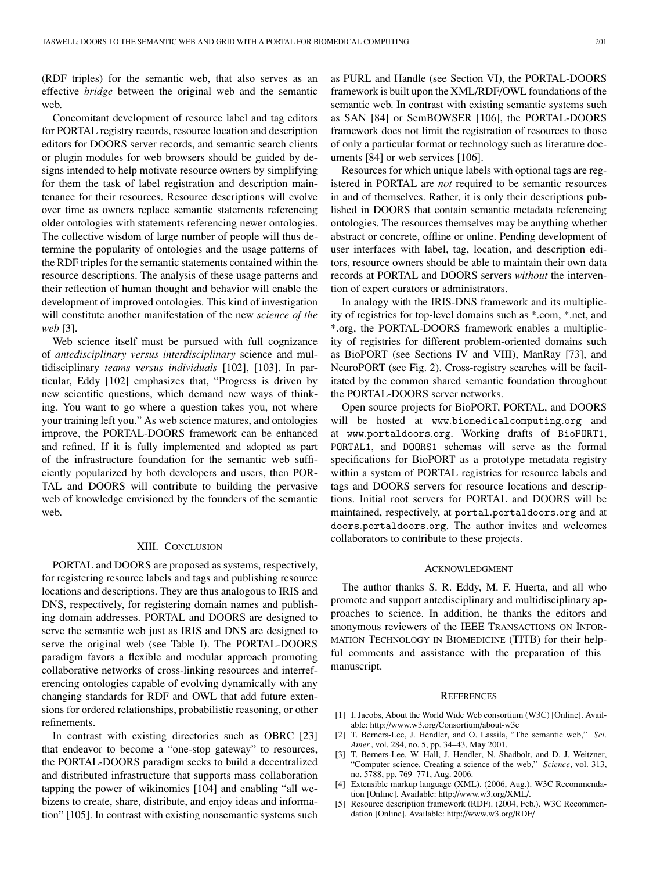(RDF triples) for the semantic web, that also serves as an effective *bridge* between the original web and the semantic web.

Concomitant development of resource label and tag editors for PORTAL registry records, resource location and description editors for DOORS server records, and semantic search clients or plugin modules for web browsers should be guided by designs intended to help motivate resource owners by simplifying for them the task of label registration and description maintenance for their resources. Resource descriptions will evolve over time as owners replace semantic statements referencing older ontologies with statements referencing newer ontologies. The collective wisdom of large number of people will thus determine the popularity of ontologies and the usage patterns of the RDF triples for the semantic statements contained within the resource descriptions. The analysis of these usage patterns and their reflection of human thought and behavior will enable the development of improved ontologies. This kind of investigation will constitute another manifestation of the new *science of the web* [3].

Web science itself must be pursued with full cognizance of *antedisciplinary versus interdisciplinary* science and multidisciplinary *teams versus individuals* [102], [103]. In particular, Eddy [102] emphasizes that, "Progress is driven by new scientific questions, which demand new ways of thinking. You want to go where a question takes you, not where your training left you." As web science matures, and ontologies improve, the PORTAL-DOORS framework can be enhanced and refined. If it is fully implemented and adopted as part of the infrastructure foundation for the semantic web sufficiently popularized by both developers and users, then POR-TAL and DOORS will contribute to building the pervasive web of knowledge envisioned by the founders of the semantic web.

# XIII. CONCLUSION

PORTAL and DOORS are proposed as systems, respectively, for registering resource labels and tags and publishing resource locations and descriptions. They are thus analogous to IRIS and DNS, respectively, for registering domain names and publishing domain addresses. PORTAL and DOORS are designed to serve the semantic web just as IRIS and DNS are designed to serve the original web (see Table I). The PORTAL-DOORS paradigm favors a flexible and modular approach promoting collaborative networks of cross-linking resources and interreferencing ontologies capable of evolving dynamically with any changing standards for RDF and OWL that add future extensions for ordered relationships, probabilistic reasoning, or other refinements.

In contrast with existing directories such as OBRC [23] that endeavor to become a "one-stop gateway" to resources, the PORTAL-DOORS paradigm seeks to build a decentralized and distributed infrastructure that supports mass collaboration tapping the power of wikinomics [104] and enabling "all webizens to create, share, distribute, and enjoy ideas and information" [105]. In contrast with existing nonsemantic systems such as PURL and Handle (see Section VI), the PORTAL-DOORS framework is built upon the XML/RDF/OWL foundations of the semantic web. In contrast with existing semantic systems such as SAN [84] or SemBOWSER [106], the PORTAL-DOORS framework does not limit the registration of resources to those of only a particular format or technology such as literature documents [84] or web services [106].

Resources for which unique labels with optional tags are registered in PORTAL are *not* required to be semantic resources in and of themselves. Rather, it is only their descriptions published in DOORS that contain semantic metadata referencing ontologies. The resources themselves may be anything whether abstract or concrete, offline or online. Pending development of user interfaces with label, tag, location, and description editors, resource owners should be able to maintain their own data records at PORTAL and DOORS servers *without* the intervention of expert curators or administrators.

In analogy with the IRIS-DNS framework and its multiplicity of registries for top-level domains such as \*.com, \*.net, and \*.org, the PORTAL-DOORS framework enables a multiplicity of registries for different problem-oriented domains such as BioPORT (see Sections IV and VIII), ManRay [73], and NeuroPORT (see Fig. 2). Cross-registry searches will be facilitated by the common shared semantic foundation throughout the PORTAL-DOORS server networks.

Open source projects for BioPORT, PORTAL, and DOORS will be hosted at www.biomedicalcomputing.org and at www.portaldoors.org. Working drafts of BioPORT1, PORTAL1, and DOORS1 schemas will serve as the formal specifications for BioPORT as a prototype metadata registry within a system of PORTAL registries for resource labels and tags and DOORS servers for resource locations and descriptions. Initial root servers for PORTAL and DOORS will be maintained, respectively, at portal.portaldoors.org and at doors.portaldoors.org. The author invites and welcomes collaborators to contribute to these projects.

#### ACKNOWLEDGMENT

The author thanks S. R. Eddy, M. F. Huerta, and all who promote and support antedisciplinary and multidisciplinary approaches to science. In addition, he thanks the editors and anonymous reviewers of the IEEE TRANSACTIONS ON INFOR-MATION TECHNOLOGY IN BIOMEDICINE (TITB) for their helpful comments and assistance with the preparation of this manuscript.

## **REFERENCES**

- [1] I. Jacobs, About the World Wide Web consortium (W3C) [Online]. Available: http://www.w3.org/Consortium/about-w3c
- [2] T. Berners-Lee, J. Hendler, and O. Lassila, "The semantic web," *Sci. Amer.*, vol. 284, no. 5, pp. 34–43, May 2001.
- [3] T. Berners-Lee, W. Hall, J. Hendler, N. Shadbolt, and D. J. Weitzner, "Computer science. Creating a science of the web," *Science*, vol. 313, no. 5788, pp. 769–771, Aug. 2006.
- [4] Extensible markup language (XML). (2006, Aug.). W3C Recommendation [Online]. Available: http://www.w3.org/XML/.
- [5] Resource description framework (RDF). (2004, Feb.). W3C Recommendation [Online]. Available: http://www.w3.org/RDF/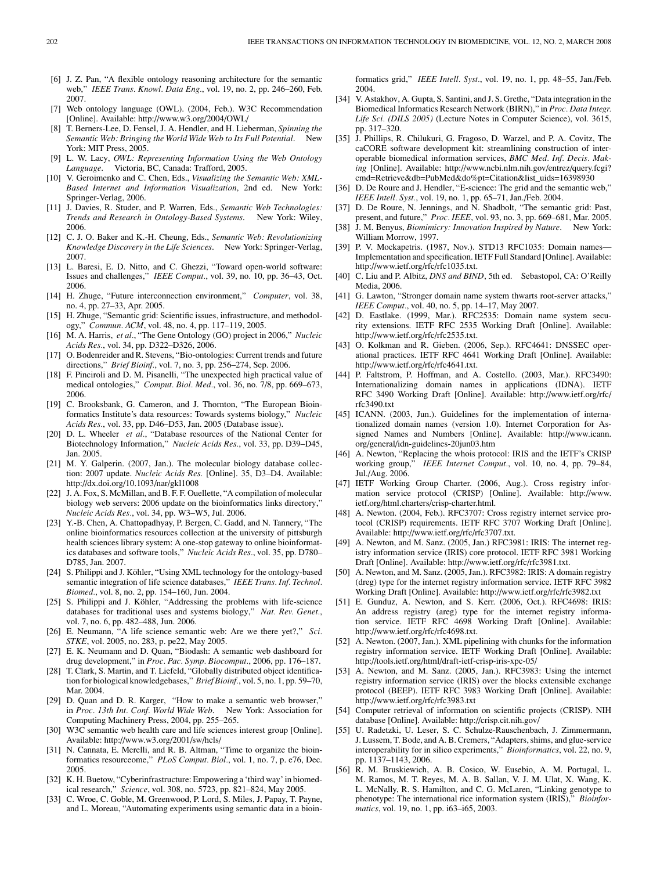- [6] J. Z. Pan, "A flexible ontology reasoning architecture for the semantic web," *IEEE Trans. Knowl. Data Eng.*, vol. 19, no. 2, pp. 246–260, Feb. 2007.
- [7] Web ontology language (OWL). (2004, Feb.). W3C Recommendation [Online]. Available: http://www.w3.org/2004/OWL/
- [8] T. Berners-Lee, D. Fensel, J. A. Hendler, and H. Lieberman, *Spinning the Semantic Web: Bringing the World Wide Web to Its Full Potential*. New York: MIT Press, 2005.
- [9] L. W. Lacy, *OWL: Representing Information Using the Web Ontology Language*. Victoria, BC, Canada: Trafford, 2005.
- [10] V. Geroimenko and C. Chen, Eds., *Visualizing the Semantic Web: XML*-*Based Internet and Information Visualization*, 2nd ed. New York: Springer-Verlag, 2006.
- [11] J. Davies, R. Studer, and P. Warren, Eds., *Semantic Web Technologies: Trends and Research in Ontology-Based Systems*. New York: Wiley, 2006.
- [12] C. J. O. Baker and K.-H. Cheung, Eds., *Semantic Web: Revolutionizing Knowledge Discovery in the Life Sciences*. New York: Springer-Verlag, 2007.
- [13] L. Baresi, E. D. Nitto, and C. Ghezzi, "Toward open-world software: Issues and challenges," *IEEE Comput.*, vol. 39, no. 10, pp. 36–43, Oct. 2006.
- [14] H. Zhuge, "Future interconnection environment," *Computer*, vol. 38, no. 4, pp. 27–33, Apr. 2005.
- [15] H. Zhuge, "Semantic grid: Scientific issues, infrastructure, and methodology," *Commun. ACM*, vol. 48, no. 4, pp. 117–119, 2005.
- [16] M. A. Harris, *et al.*, "The Gene Ontology (GO) project in 2006," *Nucleic Acids Res.*, vol. 34, pp. D322–D326, 2006.
- [17] O. Bodenreider and R. Stevens, "Bio-ontologies: Current trends and future directions," *Brief Bioinf.*, vol. 7, no. 3, pp. 256–274, Sep. 2006.
- [18] F. Pinciroli and D. M. Pisanelli, "The unexpected high practical value of medical ontologies," *Comput. Biol. Med.*, vol. 36, no. 7/8, pp. 669–673, 2006.
- [19] C. Brooksbank, G. Cameron, and J. Thornton, "The European Bioinformatics Institute's data resources: Towards systems biology," *Nucleic Acids Res.*, vol. 33, pp. D46–D53, Jan. 2005 (Database issue).
- [20] D. L. Wheeler *et al.*, "Database resources of the National Center for Biotechnology Information," *Nucleic Acids Res.*, vol. 33, pp. D39–D45, Jan. 2005.
- [21] M. Y. Galperin. (2007, Jan.). The molecular biology database collection: 2007 update. *Nucleic Acids Res.* [Online]. 35, D3–D4. Available: http://dx.doi.org/10.1093/nar/gkl1008
- [22] J. A. Fox, S. McMillan, and B. F. F. Ouellette, "A compilation of molecular biology web servers: 2006 update on the bioinformatics links directory," *Nucleic Acids Res.*, vol. 34, pp. W3–W5, Jul. 2006.
- [23] Y.-B. Chen, A. Chattopadhyay, P. Bergen, C. Gadd, and N. Tannery, "The online bioinformatics resources collection at the university of pittsburgh health sciences library system: A one-stop gateway to online bioinformatics databases and software tools," *Nucleic Acids Res.*, vol. 35, pp. D780– D785, Jan. 2007.
- [24] S. Philippi and J. Köhler, "Using XML technology for the ontology-based semantic integration of life science databases," *IEEE Trans. Inf. Technol. Biomed.*, vol. 8, no. 2, pp. 154–160, Jun. 2004.
- [25] S. Philippi and J. Köhler, "Addressing the problems with life-science databases for traditional uses and systems biology," *Nat. Rev. Genet.*, vol. 7, no. 6, pp. 482–488, Jun. 2006.
- [26] E. Neumann, "A life science semantic web: Are we there yet?," *Sci. STKE*, vol. 2005, no. 283, p. pe22, May 2005.
- [27] E. K. Neumann and D. Quan, "Biodash: A semantic web dashboard for drug development," in *Proc. Pac. Symp. Biocomput.*, 2006, pp. 176–187.
- [28] T. Clark, S. Martin, and T. Liefeld, "Globally distributed object identification for biological knowledgebases," *Brief Bioinf.*, vol. 5, no. 1, pp. 59–70, Mar. 2004.
- [29] D. Quan and D. R. Karger, "How to make a semantic web browser," in *Proc. 13th Int. Conf. World Wide Web*. New York: Association for Computing Machinery Press, 2004, pp. 255–265.
- [30] W3C semantic web health care and life sciences interest group [Online]. Available: http://www.w3.org/2001/sw/hcls/
- [31] N. Cannata, E. Merelli, and R. B. Altman, "Time to organize the bioinformatics resourceome," *PLoS Comput. Biol.*, vol. 1, no. 7, p. e76, Dec. 2005.
- [32] K. H. Buetow, "Cyberinfrastructure: Empowering a 'third way' in biomedical research," *Science*, vol. 308, no. 5723, pp. 821–824, May 2005.
- [33] C. Wroe, C. Goble, M. Greenwood, P. Lord, S. Miles, J. Papay, T. Payne, and L. Moreau, "Automating experiments using semantic data in a bioin-

formatics grid," *IEEE Intell. Syst.*, vol. 19, no. 1, pp. 48–55, Jan./Feb. 2004.

- [34] V. Astakhov, A. Gupta, S. Santini, and J. S. Grethe, "Data integration in the Biomedical Informatics Research Network (BIRN)," in *Proc. Data Integr. Life Sci. (DILS 2005)* (Lecture Notes in Computer Science), vol. 3615, pp. 317–320.
- [35] J. Phillips, R. Chilukuri, G. Fragoso, D. Warzel, and P. A. Covitz, The caCORE software development kit: streamlining construction of interoperable biomedical information services, *BMC Med. Inf. Decis. Making* [Online]. Available: http://www.ncbi.nlm.nih.gov/entrez/query.fcgi? cmd=Retrieve&db=PubMed&do%pt=Citation&list\_uids=16398930
- [36] D. De Roure and J. Hendler, "E-science: The grid and the semantic web," *IEEE Intell. Syst.*, vol. 19, no. 1, pp. 65–71, Jan./Feb. 2004.
- [37] D. De Roure, N. Jennings, and N. Shadbolt, "The semantic grid: Past, present, and future," *Proc. IEEE*, vol. 93, no. 3, pp. 669–681, Mar. 2005. [38] J. M. Benyus, *Biomimicry: Innovation Inspired by Nature*. New York:
- William Morrow, 1997. [39] P. V. Mockapetris. (1987, Nov.). STD13 RFC1035: Domain names-
- Implementation and specification. IETF Full Standard [Online]. Available: http://www.ietf.org/rfc/rfc1035.txt.
- [40] C. Liu and P. Albitz, *DNS and BIND*, 5th ed. Sebastopol, CA: O'Reilly Media, 2006.
- [41] G. Lawton, "Stronger domain name system thwarts root-server attacks," *IEEE Comput.*, vol. 40, no. 5, pp. 14–17, May 2007.
- [42] D. Eastlake. (1999, Mar.). RFC2535: Domain name system security extensions. IETF RFC 2535 Working Draft [Online]. Available: http://www.ietf.org/rfc/rfc2535.txt.
- [43] O. Kolkman and R. Gieben. (2006, Sep.). RFC4641: DNSSEC operational practices. IETF RFC 4641 Working Draft [Online]. Available: http://www.ietf.org/rfc/rfc4641.txt.
- [44] P. Faltstrom, P. Hoffman, and A. Costello. (2003, Mar.). RFC3490: Internationalizing domain names in applications (IDNA). IETF RFC 3490 Working Draft [Online]. Available: http://www.ietf.org/rfc/ rfc3490.txt
- [45] ICANN. (2003, Jun.). Guidelines for the implementation of internationalized domain names (version 1.0). Internet Corporation for Assigned Names and Numbers [Online]. Available: http://www.icann. org/general/idn-guidelines-20jun03.htm
- [46] A. Newton, "Replacing the whois protocol: IRIS and the IETF's CRISP working group," *IEEE Internet Comput.*, vol. 10, no. 4, pp. 79–84, Jul./Aug. 2006.
- [47] IETF Working Group Charter. (2006, Aug.). Cross registry information service protocol (CRISP) [Online]. Available: http://www. ietf.org/html.charters/crisp-charter.html.
- [48] A. Newton. (2004, Feb.). RFC3707: Cross registry internet service protocol (CRISP) requirements. IETF RFC 3707 Working Draft [Online]. Available: http://www.ietf.org/rfc/rfc3707.txt.
- [49] A. Newton, and M. Sanz. (2005, Jan.) RFC3981: IRIS: The internet registry information service (IRIS) core protocol. IETF RFC 3981 Working Draft [Online]. Available: http://www.ietf.org/rfc/rfc3981.txt.
- [50] A. Newton, and M. Sanz. (2005, Jan.). RFC3982: IRIS: A domain registry (dreg) type for the internet registry information service. IETF RFC 3982 Working Draft [Online]. Available: http://www.ietf.org/rfc/rfc3982.txt
- [51] E. Gunduz, A. Newton, and S. Kerr. (2006, Oct.). RFC4698: IRIS: An address registry (areg) type for the internet registry information service. IETF RFC 4698 Working Draft [Online]. Available: http://www.ietf.org/rfc/rfc4698.txt.
- [52] A. Newton. (2007, Jan.). XML pipelining with chunks for the information registry information service. IETF Working Draft [Online]. Available: http://tools.ietf.org/html/draft-ietf-crisp-iris-xpc-05/
- [53] A. Newton, and M. Sanz. (2005, Jan.). RFC3983: Using the internet registry information service (IRIS) over the blocks extensible exchange protocol (BEEP). IETF RFC 3983 Working Draft [Online]. Available: http://www.ietf.org/rfc/rfc3983.txt
- [54] Computer retrieval of information on scientific projects (CRISP). NIH database [Online]. Available: http://crisp.cit.nih.gov/
- [55] U. Radetzki, U. Leser, S. C. Schulze-Rauschenbach, J. Zimmermann, J. Lussem, T. Bode, and A. B. Cremers, "Adapters, shims, and glue-service interoperability for in silico experiments," *Bioinformatics*, vol. 22, no. 9, pp. 1137–1143, 2006.
- [56] R. M. Bruskiewich, A. B. Cosico, W. Eusebio, A. M. Portugal, L. M. Ramos, M. T. Reyes, M. A. B. Sallan, V. J. M. Ulat, X. Wang, K. L. McNally, R. S. Hamilton, and C. G. McLaren, "Linking genotype to phenotype: The international rice information system (IRIS)," *Bioinformatics*, vol. 19, no. 1, pp. i63–i65, 2003.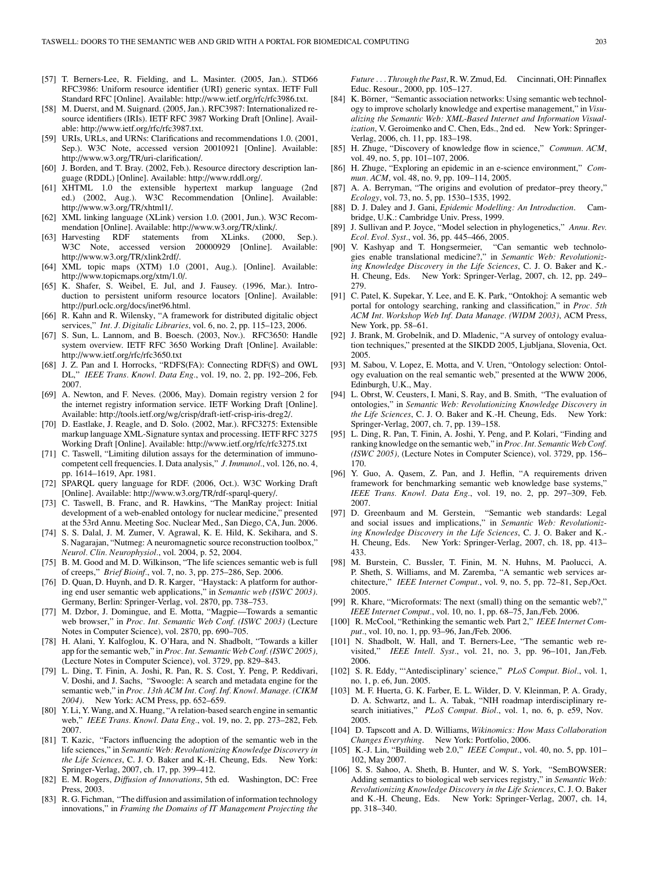- [57] T. Berners-Lee, R. Fielding, and L. Masinter. (2005, Jan.). STD66 RFC3986: Uniform resource identifier (URI) generic syntax. IETF Full Standard RFC [Online]. Available: http://www.ietf.org/rfc/rfc3986.txt.
- [58] M. Duerst, and M. Suignard. (2005, Jan.). RFC3987: Internationalized resource identifiers (IRIs). IETF RFC 3987 Working Draft [Online]. Available: http://www.ietf.org/rfc/rfc3987.txt.
- [59] URIs, URLs, and URNs: Clarifications and recommendations 1.0. (2001, Sep.). W3C Note, accessed version 20010921 [Online]. Available: http://www.w3.org/TR/uri-clarification/.
- [60] J. Borden, and T. Bray. (2002, Feb.). Resource directory description language (RDDL) [Online]. Available: http://www.rddl.org/.
- [61] XHTML 1.0 the extensible hypertext markup language (2nd ed.) (2002, Aug.). W3C Recommendation [Online]. Available: http://www.w3.org/TR/xhtml1/.
- [62] XML linking language (XLink) version 1.0. (2001, Jun.). W3C Recommendation [Online]. Available: http://www.w3.org/TR/xlink/.
- [63] Harvesting RDF statements from XLinks. (2000, Sep.). W3C Note, accessed version 20000929 [Online]. Available: http://www.w3.org/TR/xlink2rdf/.
- [64] XML topic maps (XTM) 1.0 (2001, Aug.). [Online]. Available: http://www.topicmaps.org/xtm/1.0/.
- [65] K. Shafer, S. Weibel, E. Jul, and J. Fausey. (1996, Mar.). Introduction to persistent uniform resource locators [Online]. Available: http://purl.oclc.org/docs/inet96.html.
- [66] R. Kahn and R. Wilensky, "A framework for distributed digitalic object services," *Int. J. Digitalic Libraries*, vol. 6, no. 2, pp. 115–123, 2006.
- [67] S. Sun, L. Lannom, and B. Boesch. (2003, Nov.). RFC3650: Handle system overview. IETF RFC 3650 Working Draft [Online]. Available: http://www.ietf.org/rfc/rfc3650.txt
- [68] J. Z. Pan and I. Horrocks, "RDFS(FA): Connecting RDF(S) and OWL DL," *IEEE Trans. Knowl. Data Eng.*, vol. 19, no. 2, pp. 192–206, Feb. 2007.
- [69] A. Newton, and F. Neves. (2006, May). Domain registry version 2 for the internet registry information service. IETF Working Draft [Online]. Available: http://tools.ietf.org/wg/crisp/draft-ietf-crisp-iris-dreg2/.
- [70] D. Eastlake, J. Reagle, and D. Solo. (2002, Mar.). RFC3275: Extensible markup language XML-Signature syntax and processing. IETF RFC 3275 Working Draft [Online]. Available: http://www.ietf.org/rfc/rfc3275.txt
- [71] C. Taswell, "Limiting dilution assays for the determination of immunocompetent cell frequencies. I. Data analysis," *J. Immunol.*, vol. 126, no. 4, pp. 1614–1619, Apr. 1981.
- [72] SPARQL query language for RDF. (2006, Oct.). W3C Working Draft [Online]. Available: http://www.w3.org/TR/rdf-sparql-query/.
- [73] C. Taswell, B. Franc, and R. Hawkins, "The ManRay project: Initial development of a web-enabled ontology for nuclear medicine," presented at the 53rd Annu. Meeting Soc. Nuclear Med., San Diego, CA, Jun. 2006.
- [74] S. S. Dalal, J. M. Zumer, V. Agrawal, K. E. Hild, K. Sekihara, and S. S. Nagarajan, "Nutmeg: A neuromagnetic source reconstruction toolbox," *Neurol. Clin. Neurophysiol.*, vol. 2004, p. 52, 2004.
- [75] B. M. Good and M. D. Wilkinson, "The life sciences semantic web is full of creeps," *Brief Bioinf.*, vol. 7, no. 3, pp. 275–286, Sep. 2006.
- [76] D. Quan, D. Huynh, and D. R. Karger, "Haystack: A platform for authoring end user semantic web applications," in *Semantic web (ISWC 2003)*. Germany, Berlin: Springer-Verlag, vol. 2870, pp. 738–753.
- [77] M. Dzbor, J. Domingue, and E. Motta, "Magpie—Towards a semantic web browser," in *Proc. Int. Semantic Web Conf. (ISWC 2003)* (Lecture Notes in Computer Science), vol. 2870, pp. 690–705.
- [78] H. Alani, Y. Kalfoglou, K. O'Hara, and N. Shadbolt, "Towards a killer app for the semantic web," in *Proc. Int. Semantic Web Conf. (ISWC 2005),* (Lecture Notes in Computer Science), vol. 3729, pp. 829–843.
- [79] L. Ding, T. Finin, A. Joshi, R. Pan, R. S. Cost, Y. Peng, P. Reddivari, V. Doshi, and J. Sachs, "Swoogle: A search and metadata engine for the semantic web," in *Proc. 13th ACM Int. Conf. Inf. Knowl. Manage. (CIKM 2004)*. New York: ACM Press, pp. 652–659.
- [80] Y. Li, Y. Wang, and X. Huang, "A relation-based search engine in semantic web," *IEEE Trans. Knowl. Data Eng.*, vol. 19, no. 2, pp. 273–282, Feb. 2007.
- [81] T. Kazic, "Factors influencing the adoption of the semantic web in the life sciences," in *Semantic Web: Revolutionizing Knowledge Discovery in the Life Sciences*, C. J. O. Baker and K.-H. Cheung, Eds. New York: Springer-Verlag, 2007, ch. 17, pp. 399–412.
- [82] E. M. Rogers, *Diffusion of Innovations*, 5th ed. Washington, DC: Free Press, 2003.
- [83] R. G. Fichman, "The diffusion and assimilation of information technology innovations," in *Framing the Domains of IT Management Projecting the*

*Future* ... *Through the Past*, R. W. Zmud, Ed. Cincinnati, OH: Pinnaflex Educ. Resour., 2000, pp. 105–127.

- [84] K. Börner, "Semantic association networks: Using semantic web technology to improve scholarly knowledge and expertise management," in *Visualizing the Semantic Web: XML-Based Internet and Information Visualization*, V. Geroimenko and C. Chen, Eds., 2nd ed. New York: Springer-Verlag, 2006, ch. 11, pp. 183–198.
- [85] H. Zhuge, "Discovery of knowledge flow in science," *Commun. ACM*, vol. 49, no. 5, pp. 101–107, 2006.
- [86] H. Zhuge, "Exploring an epidemic in an e-science environment," *Commun. ACM*, vol. 48, no. 9, pp. 109–114, 2005.
- [87] A. A. Berryman, "The origins and evolution of predator–prey theory," *Ecology*, vol. 73, no. 5, pp. 1530–1535, 1992.
- [88] D. J. Daley and J. Gani, *Epidemic Modelling: An Introduction*. Cambridge, U.K.: Cambridge Univ. Press, 1999.
- [89] J. Sullivan and P. Joyce, "Model selection in phylogenetics," *Annu. Rev. Ecol. Evol. Syst.*, vol. 36, pp. 445–466, 2005.
- [90] V. Kashyap and T. Hongsermeier, "Can semantic web technologies enable translational medicine?," in *Semantic Web: Revolutionizing Knowledge Discovery in the Life Sciences*, C. J. O. Baker and K.- H. Cheung, Eds. New York: Springer-Verlag, 2007, ch. 12, pp. 249– 279.
- [91] C. Patel, K. Supekar, Y. Lee, and E. K. Park, "Ontokhoj: A semantic web portal for ontology searching, ranking and classification," in *Proc. 5th ACM Int. Workshop Web Inf. Data Manage. (WIDM 2003)*, ACM Press, New York, pp. 58–61.
- [92] J. Brank, M. Grobelnik, and D. Mladenic, "A survey of ontology evaluation techniques," presented at the SIKDD 2005, Ljubljana, Slovenia, Oct. 2005.
- [93] M. Sabou, V. Lopez, E. Motta, and V. Uren, "Ontology selection: Ontology evaluation on the real semantic web," presented at the WWW 2006, Edinburgh, U.K., May.
- [94] L. Obrst, W. Ceusters, I. Mani, S. Ray, and B. Smith, "The evaluation of ontologies," in *Semantic Web: Revolutionizing Knowledge Discovery in the Life Sciences*, C. J. O. Baker and K.-H. Cheung, Eds. New York: Springer-Verlag, 2007, ch. 7, pp. 139–158.
- [95] L. Ding, R. Pan, T. Finin, A. Joshi, Y. Peng, and P. Kolari, "Finding and ranking knowledge on the semantic web," in *Proc. Int. Semantic Web Conf. (ISWC 2005),* (Lecture Notes in Computer Science), vol. 3729, pp. 156– 170.
- [96] Y. Guo, A. Qasem, Z. Pan, and J. Heflin, "A requirements driven framework for benchmarking semantic web knowledge base systems," *IEEE Trans. Knowl. Data Eng.*, vol. 19, no. 2, pp. 297–309, Feb. 2007.
- [97] D. Greenbaum and M. Gerstein, "Semantic web standards: Legal and social issues and implications," in *Semantic Web: Revolutionizing Knowledge Discovery in the Life Sciences*, C. J. O. Baker and K.- H. Cheung, Eds. New York: Springer-Verlag, 2007, ch. 18, pp. 413– 433.
- [98] M. Burstein, C. Bussler, T. Finin, M. N. Huhns, M. Paolucci, A. P. Sheth, S. Williams, and M. Zaremba, "A semantic web services architecture," *IEEE Internet Comput.*, vol. 9, no. 5, pp. 72–81, Sep./Oct. 2005.
- [99] R. Khare, "Microformats: The next (small) thing on the semantic web?," *IEEE Internet Comput.*, vol. 10, no. 1, pp. 68–75, Jan./Feb. 2006.
- [100] R. McCool, "Rethinking the semantic web. Part 2," *IEEE Internet Comput.*, vol. 10, no. 1, pp. 93–96, Jan./Feb. 2006.
- [101] N. Shadbolt, W. Hall, and T. Berners-Lee, "The semantic web revisited," *IEEE Intell. Syst.*, vol. 21, no. 3, pp. 96–101, Jan./Feb. 2006.
- [102] S. R. Eddy, "'Antedisciplinary' science," *PLoS Comput. Biol.*, vol. 1, no. 1, p. e6, Jun. 2005.
- [103] M. F. Huerta, G. K. Farber, E. L. Wilder, D. V. Kleinman, P. A. Grady, D. A. Schwartz, and L. A. Tabak, "NIH roadmap interdisciplinary research initiatives," *PLoS Comput. Biol.*, vol. 1, no. 6, p. e59, Nov. 2005.
- [104] D. Tapscott and A. D. Williams, *Wikinomics: How Mass Collaboration Changes Everything*. New York: Portfolio, 2006.
- [105] K.-J. Lin, "Building web 2.0," *IEEE Comput.*, vol. 40, no. 5, pp. 101– 102, May 2007.
- [106] S. S. Sahoo, A. Sheth, B. Hunter, and W. S. York, "SemBOWSER: Adding semantics to biological web services registry," in *Semantic Web: Revolutionizing Knowledge Discovery in the Life Sciences*, C. J. O. Baker and K.-H. Cheung, Eds. New York: Springer-Verlag, 2007, ch. 14, pp. 318–340.